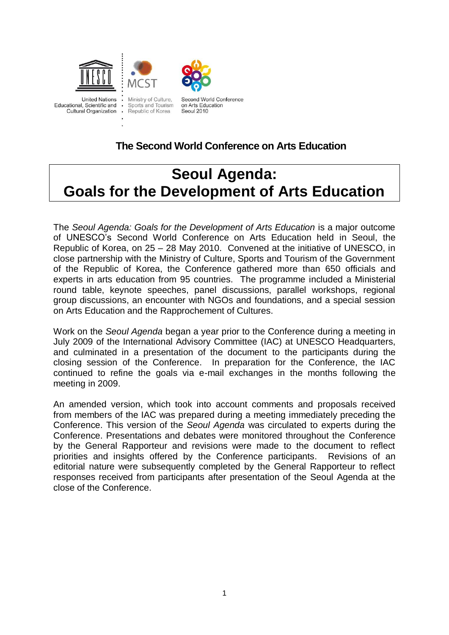

# **The Second World Conference on Arts Education**

# **Seoul Agenda: Goals for the Development of Arts Education**

The *Seoul Agenda: Goals for the Development of Arts Education* is a major outcome of UNESCO's Second World Conference on Arts Education held in Seoul, the Republic of Korea, on 25 – 28 May 2010. Convened at the initiative of UNESCO, in close partnership with the Ministry of Culture, Sports and Tourism of the Government of the Republic of Korea, the Conference gathered more than 650 officials and experts in arts education from 95 countries. The programme included a Ministerial round table, keynote speeches, panel discussions, parallel workshops, regional group discussions, an encounter with NGOs and foundations, and a special session on Arts Education and the Rapprochement of Cultures.

Work on the *Seoul Agenda* began a year prior to the Conference during a meeting in July 2009 of the International Advisory Committee (IAC) at UNESCO Headquarters, and culminated in a presentation of the document to the participants during the closing session of the Conference. In preparation for the Conference, the IAC continued to refine the goals via e-mail exchanges in the months following the meeting in 2009.

An amended version, which took into account comments and proposals received from members of the IAC was prepared during a meeting immediately preceding the Conference. This version of the *Seoul Agenda* was circulated to experts during the Conference. Presentations and debates were monitored throughout the Conference by the General Rapporteur and revisions were made to the document to reflect priorities and insights offered by the Conference participants. Revisions of an editorial nature were subsequently completed by the General Rapporteur to reflect responses received from participants after presentation of the Seoul Agenda at the close of the Conference.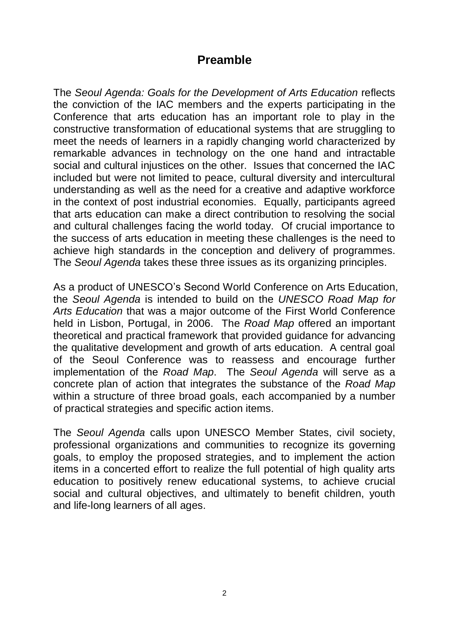# **Preamble**

The *Seoul Agenda: Goals for the Development of Arts Education* reflects the conviction of the IAC members and the experts participating in the Conference that arts education has an important role to play in the constructive transformation of educational systems that are struggling to meet the needs of learners in a rapidly changing world characterized by remarkable advances in technology on the one hand and intractable social and cultural injustices on the other. Issues that concerned the IAC included but were not limited to peace, cultural diversity and intercultural understanding as well as the need for a creative and adaptive workforce in the context of post industrial economies. Equally, participants agreed that arts education can make a direct contribution to resolving the social and cultural challenges facing the world today. Of crucial importance to the success of arts education in meeting these challenges is the need to achieve high standards in the conception and delivery of programmes. The *Seoul Agenda* takes these three issues as its organizing principles.

As a product of UNESCO's Second World Conference on Arts Education, the *Seoul Agenda* is intended to build on the *UNESCO Road Map for Arts Education* that was a major outcome of the First World Conference held in Lisbon, Portugal, in 2006. The *Road Map* offered an important theoretical and practical framework that provided guidance for advancing the qualitative development and growth of arts education. A central goal of the Seoul Conference was to reassess and encourage further implementation of the *Road Map*. The *Seoul Agenda* will serve as a concrete plan of action that integrates the substance of the *Road Map* within a structure of three broad goals, each accompanied by a number of practical strategies and specific action items.

The *Seoul Agenda* calls upon UNESCO Member States, civil society, professional organizations and communities to recognize its governing goals, to employ the proposed strategies, and to implement the action items in a concerted effort to realize the full potential of high quality arts education to positively renew educational systems, to achieve crucial social and cultural objectives, and ultimately to benefit children, youth and life-long learners of all ages.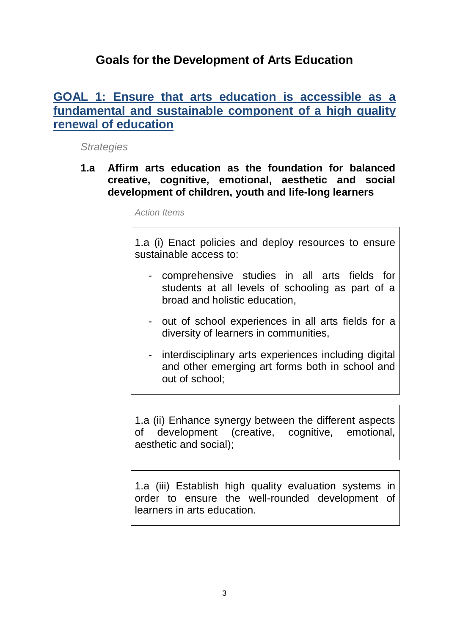# **Goals for the Development of Arts Education**

# **GOAL 1: Ensure that arts education is accessible as a fundamental and sustainable component of a high quality renewal of education**

*Strategies*

**1.a Affirm arts education as the foundation for balanced creative, cognitive, emotional, aesthetic and social development of children, youth and life-long learners**

*Action Items*

1.a (i) Enact policies and deploy resources to ensure sustainable access to:

- comprehensive studies in all arts fields for students at all levels of schooling as part of a broad and holistic education,
- out of school experiences in all arts fields for a diversity of learners in communities,
- interdisciplinary arts experiences including digital and other emerging art forms both in school and out of school;

1.a (ii) Enhance synergy between the different aspects of development (creative, cognitive, emotional, aesthetic and social);

1.a (iii) Establish high quality evaluation systems in order to ensure the well-rounded development of learners in arts education.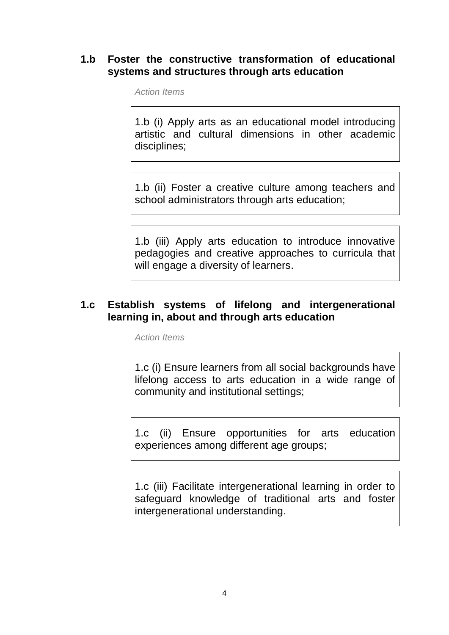### **1.b Foster the constructive transformation of educational systems and structures through arts education**

*Action Items*

1.b (i) Apply arts as an educational model introducing artistic and cultural dimensions in other academic disciplines;

1.b (ii) Foster a creative culture among teachers and school administrators through arts education;

1.b (iii) Apply arts education to introduce innovative pedagogies and creative approaches to curricula that will engage a diversity of learners.

## **1.c Establish systems of lifelong and intergenerational learning in, about and through arts education**

*Action Items*

1.c (i) Ensure learners from all social backgrounds have lifelong access to arts education in a wide range of community and institutional settings;

1.c (ii) Ensure opportunities for arts education experiences among different age groups;

1.c (iii) Facilitate intergenerational learning in order to safeguard knowledge of traditional arts and foster intergenerational understanding.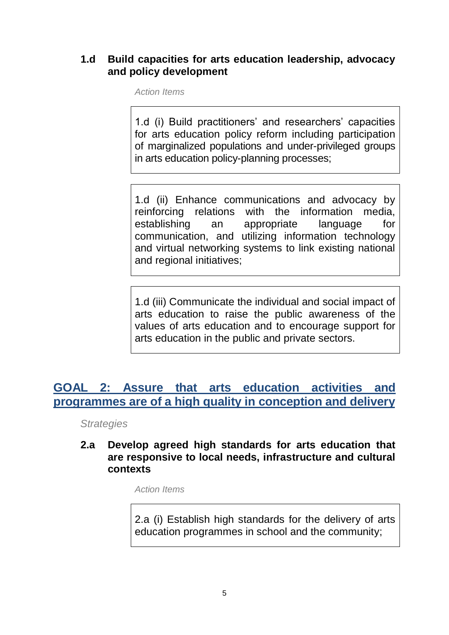### **1.d Build capacities for arts education leadership, advocacy and policy development**

*Action Items*

1.d (i) Build practitioners' and researchers' capacities for arts education policy reform including participation of marginalized populations and under-privileged groups in arts education policy-planning processes;

1.d (ii) Enhance communications and advocacy by reinforcing relations with the information media, establishing an appropriate language for communication, and utilizing information technology and virtual networking systems to link existing national and regional initiatives;

1.d (iii) Communicate the individual and social impact of arts education to raise the public awareness of the values of arts education and to encourage support for arts education in the public and private sectors.

# **GOAL 2: Assure that arts education activities and programmes are of a high quality in conception and delivery**

*Strategies*

#### **2.a Develop agreed high standards for arts education that are responsive to local needs, infrastructure and cultural contexts**

*Action Items*

2.a (i) Establish high standards for the delivery of arts education programmes in school and the community;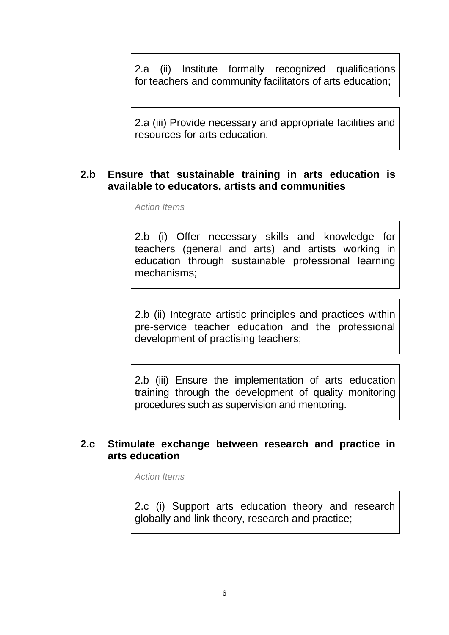2.a (ii) Institute formally recognized qualifications for teachers and community facilitators of arts education;

2.a (iii) Provide necessary and appropriate facilities and resources for arts education.

### **2.b Ensure that sustainable training in arts education is available to educators, artists and communities**

*Action Items*

2.b (i) Offer necessary skills and knowledge for teachers (general and arts) and artists working in education through sustainable professional learning mechanisms;

2.b (ii) Integrate artistic principles and practices within pre-service teacher education and the professional development of practising teachers;

2.b (iii) Ensure the implementation of arts education training through the development of quality monitoring procedures such as supervision and mentoring.

#### **2.c Stimulate exchange between research and practice in arts education**

*Action Items*

2.c (i) Support arts education theory and research globally and link theory, research and practice;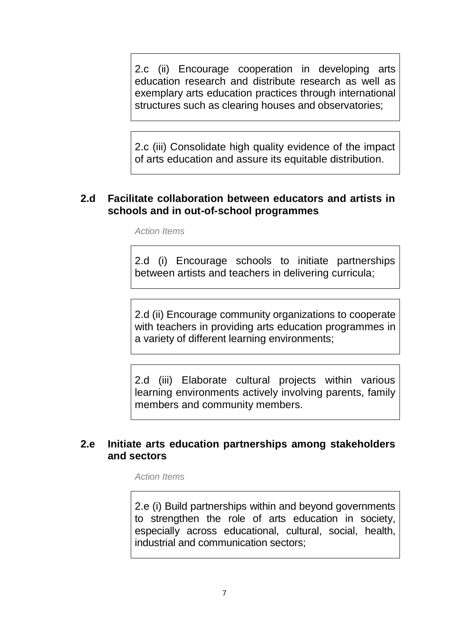2.c (ii) Encourage cooperation in developing arts education research and distribute research as well as exemplary arts education practices through international structures such as clearing houses and observatories;

2.c (iii) Consolidate high quality evidence of the impact of arts education and assure its equitable distribution.

#### **2.d Facilitate collaboration between educators and artists in schools and in out-of-school programmes**

*Action Items*

2.d (i) Encourage schools to initiate partnerships between artists and teachers in delivering curricula;

2.d (ii) Encourage community organizations to cooperate with teachers in providing arts education programmes in a variety of different learning environments;

2.d (iii) Elaborate cultural projects within various learning environments actively involving parents, family members and community members.

#### **2.e Initiate arts education partnerships among stakeholders and sectors**

*Action Items*

2.e (i) Build partnerships within and beyond governments to strengthen the role of arts education in society, especially across educational, cultural, social, health, industrial and communication sectors;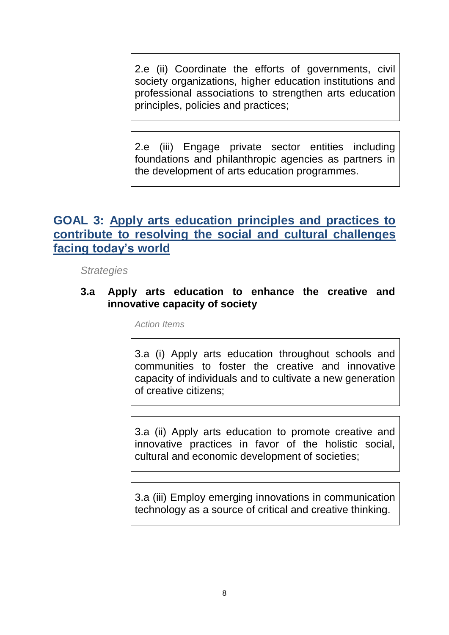2.e (ii) Coordinate the efforts of governments, civil society organizations, higher education institutions and professional associations to strengthen arts education principles, policies and practices;

2.e (iii) Engage private sector entities including foundations and philanthropic agencies as partners in the development of arts education programmes.

# **GOAL 3: Apply arts education principles and practices to contribute to resolving the social and cultural challenges facing today's world**

*Strategies*

### **3.a Apply arts education to enhance the creative and innovative capacity of society**

*Action Items*

3.a (i) Apply arts education throughout schools and communities to foster the creative and innovative capacity of individuals and to cultivate a new generation of creative citizens;

3.a (ii) Apply arts education to promote creative and innovative practices in favor of the holistic social, cultural and economic development of societies;

3.a (iii) Employ emerging innovations in communication technology as a source of critical and creative thinking.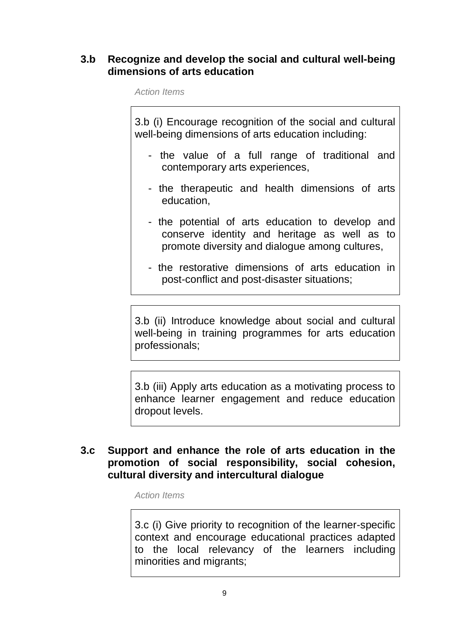### **3.b Recognize and develop the social and cultural well-being dimensions of arts education**

*Action Items*

3.b (i) Encourage recognition of the social and cultural well-being dimensions of arts education including:

- the value of a full range of traditional and contemporary arts experiences,
- the therapeutic and health dimensions of arts education,
- the potential of arts education to develop and conserve identity and heritage as well as to promote diversity and dialogue among cultures,
- the restorative dimensions of arts education in post-conflict and post-disaster situations;

3.b (ii) Introduce knowledge about social and cultural well-being in training programmes for arts education professionals;

3.b (iii) Apply arts education as a motivating process to enhance learner engagement and reduce education dropout levels.

#### **3.c Support and enhance the role of arts education in the promotion of social responsibility, social cohesion, cultural diversity and intercultural dialogue**

*Action Items*

3.c (i) Give priority to recognition of the learner-specific context and encourage educational practices adapted to the local relevancy of the learners including minorities and migrants;